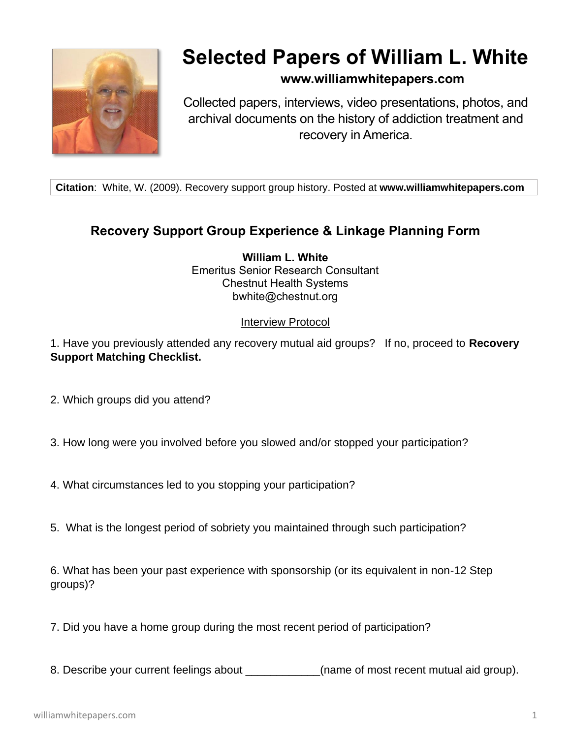

## **Selected Papers of William L. White**

## **www.williamwhitepapers.com**

Collected papers, interviews, video presentations, photos, and archival documents on the history of addiction treatment and recovery in America.

**Citation**: White, W. (2009). Recovery support group history. Posted at **www.williamwhitepapers.com**

## **Recovery Support Group Experience & Linkage Planning Form**

**William L. White** Emeritus Senior Research Consultant Chestnut Health Systems bwhite@chestnut.org

## Interview Protocol

1. Have you previously attended any recovery mutual aid groups? If no, proceed to **Recovery Support Matching Checklist.**

- 2. Which groups did you attend?
- 3. How long were you involved before you slowed and/or stopped your participation?
- 4. What circumstances led to you stopping your participation?
- 5. What is the longest period of sobriety you maintained through such participation?

6. What has been your past experience with sponsorship (or its equivalent in non-12 Step groups)?

- 7. Did you have a home group during the most recent period of participation?
- 8. Describe your current feelings about \_\_\_\_\_\_\_\_\_\_\_\_(name of most recent mutual aid group).